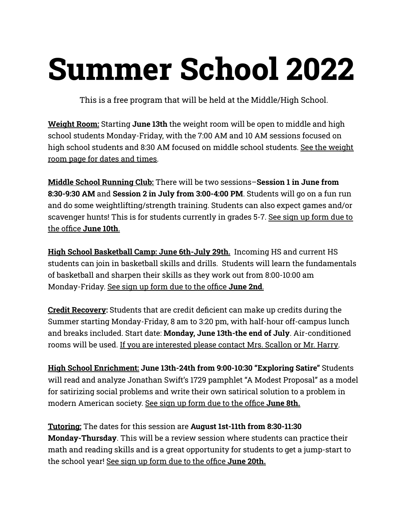# **Summer School 2022**

This is a free program that will be held at the Middle/High School.

**Weight Room:** Starting **June 13th** the weight room will be open to middle and high school students Monday-Friday, with the 7:00 AM and 10 AM sessions focused on high school students and 8:30 AM focused on middle school students. See the weight room page for dates and times.

**Middle School Running Club:** There will be two sessions–**Session 1 in June from 8:30-9:30 AM** and **Session 2 in July from 3:00-4:00 PM**. Students will go on a fun run and do some weightlifting/strength training. Students can also expect games and/or scavenger hunts! This is for students currently in grades 5-7. See sign up form due to the office **June 10th**.

**High School Basketball Camp: June 6th-July 29th.** Incoming HS and current HS students can join in basketball skills and drills. Students will learn the fundamentals of basketball and sharpen their skills as they work out from 8:00-10:00 am Monday-Friday. See sign up form due to the office **June 2nd**.

**Credit Recovery:** Students that are credit deficient can make up credits during the Summer starting Monday-Friday, 8 am to 3:20 pm, with half-hour off-campus lunch and breaks included. Start date: **Monday, June 13th-the end of July**. Air-conditioned rooms will be used. If you are interested please contact Mrs. Scallon or Mr. Harry.

**High School Enrichment: June 13th-24th from 9:00-10:30 "Exploring Satire"** Students will read and analyze Jonathan Swift's 1729 pamphlet "A Modest Proposal" as a model for satirizing social problems and write their own satirical solution to a problem in modern American society. See sign up form due to the office **June 8th.**

**Tutoring:** The dates for this session are **August 1st-11th from 8:30-11:30 Monday-Thursday**. This will be a review session where students can practice their math and reading skills and is a great opportunity for students to get a jump-start to the school year! See sign up form due to the office **June 20th.**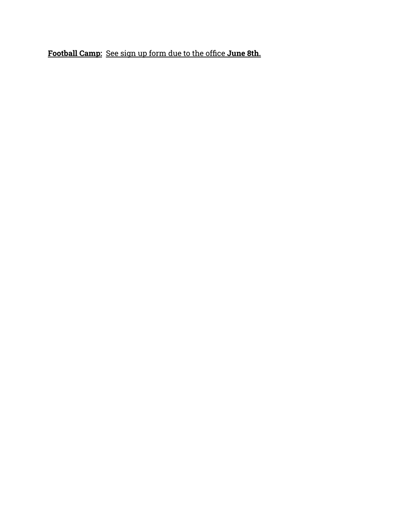**Football Camp:** See sign up form due to the office **June 8th.**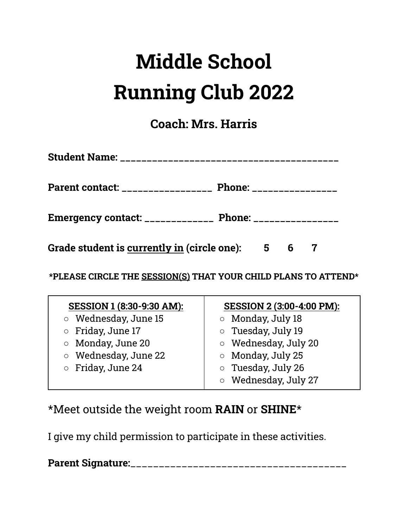# **Middle School Running Club 2022**

**Coach: Mrs. Harris**

| Student Name: ______________________________                |                                 |  |  |
|-------------------------------------------------------------|---------------------------------|--|--|
| Parent contact: _________________                           | <b>Phone: _________________</b> |  |  |
| Emergency contact: ________________ Phone: ________________ |                                 |  |  |
| Grade student is currently in (circle one): 5 6             |                                 |  |  |

**\*PLEASE CIRCLE THE SESSION(S) THAT YOUR CHILD PLANS TO ATTEND\***

| SESSION 1 (8:30-9:30 AM):  | <b>SESSION 2 (3:00-4:00 PM):</b> |
|----------------------------|----------------------------------|
| $\circ$ Wednesday, June 15 | ○ Monday, July 18                |
| <b>O</b> Friday, June 17   | <b>o</b> Tuesday, July 19        |
| <b>O</b> Monday, June 20   | <b>O</b> Wednesday, July 20      |
| ○ Wednesday, June 22       | $\circ$ Monday, July 25          |
| $\circ$ Friday, June 24    | $\circ$ Tuesday, July 26         |
|                            | <b>O</b> Wednesday, July 27      |

### \*Meet outside the weight room **RAIN** or **SHINE**\*

I give my child permission to participate in these activities.

**Parent Signature:**\_\_\_\_\_\_\_\_\_\_\_\_\_\_\_\_\_\_\_\_\_\_\_\_\_\_\_\_\_\_\_\_\_\_\_\_\_\_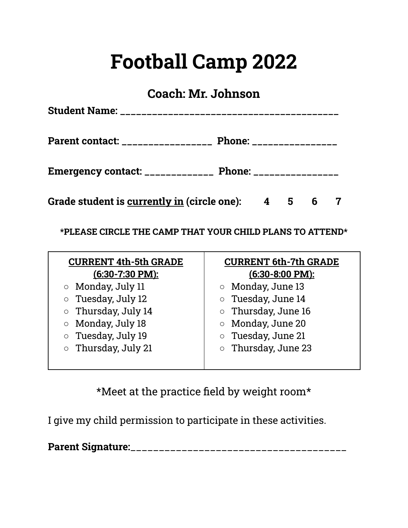### **Football Camp 2022**

### **Coach: Mr. Johnson**

| <b>Student Name: ____________________________</b>           |                          |  |  |
|-------------------------------------------------------------|--------------------------|--|--|
| Parent contact: _________________                           | Phone: _________________ |  |  |
| Emergency contact: ________________ Phone: ________________ |                          |  |  |
| Grade student is <u>currently in</u> (circle one): 4 5 6 7  |                          |  |  |

**\*PLEASE CIRCLE THE CAMP THAT YOUR CHILD PLANS TO ATTEND\***

| <b>CURRENT 4th-5th GRADE</b><br>(6:30-7:30 PM): | <b>CURRENT 6th-7th GRADE</b><br>$(6:30-8:00$ PM): |
|-------------------------------------------------|---------------------------------------------------|
| <b>O</b> Monday, July 11                        | <b>O</b> Monday, June 13                          |
| $\circ$ Tuesday, July 12                        | <b>o</b> Tuesday, June 14                         |
| $\circ$ Thursday, July 14                       | $\circ$ Thursday, June 16                         |
| Monday, July 18<br>$\bigcirc$                   | Monday, June 20<br>$\circ$                        |
| Tuesday, July 19<br>$\circ$                     | Tuesday, June 21<br>$\circ$                       |
| $\circ$ Thursday, July 21                       | Thursday, June 23<br>$\circ$                      |
|                                                 |                                                   |

\*Meet at the practice field by weight room\*

I give my child permission to participate in these activities.

**Parent Signature:**\_\_\_\_\_\_\_\_\_\_\_\_\_\_\_\_\_\_\_\_\_\_\_\_\_\_\_\_\_\_\_\_\_\_\_\_\_\_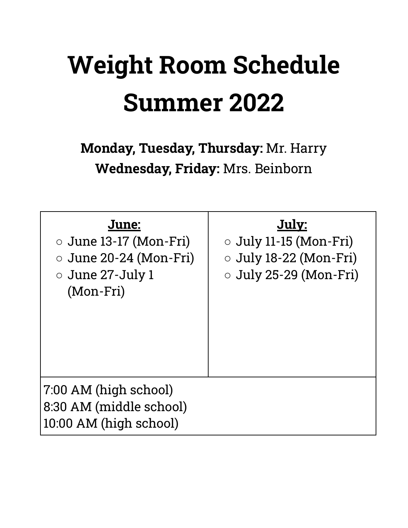# **Weight Room Schedule Summer 2022**

**Monday, Tuesday, Thursday:** Mr. Harry **Wednesday, Friday:** Mrs. Beinborn

| June:<br>$\circ$ June 13-17 (Mon-Fri)<br>$\circ$ June 20-24 (Mon-Fri)<br>$\circ$ June 27-July 1<br>(Mon-Fri) | July:<br>$\circ$ July 11-15 (Mon-Fri)<br>O July 18-22 (Mon-Fri)<br>$\circ$ July 25-29 (Mon-Fri) |
|--------------------------------------------------------------------------------------------------------------|-------------------------------------------------------------------------------------------------|
| 7:00 AM (high school)<br>8:30 AM (middle school)<br>10:00 AM (high school)                                   |                                                                                                 |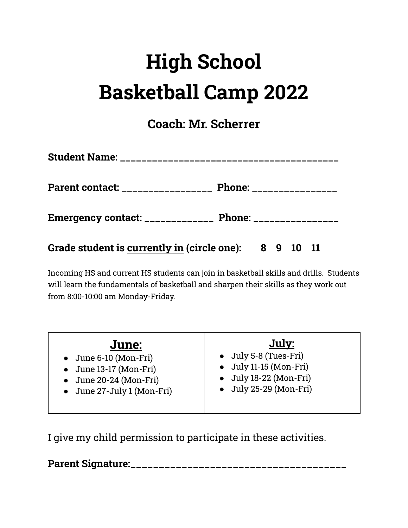# **High School Basketball Camp 2022**

**Coach: Mr. Scherrer**

| Student Name: _______________________________                |                                 |  |  |
|--------------------------------------------------------------|---------------------------------|--|--|
| Parent contact: _________________                            | <b>Phone: _________________</b> |  |  |
| Emergency contact: ________________ Phone: ________________  |                                 |  |  |
| Grade student is <u>currently in</u> (circle one): 8 9 10 11 |                                 |  |  |

Incoming HS and current HS students can join in basketball skills and drills. Students will learn the fundamentals of basketball and sharpen their skills as they work out from 8:00-10:00 am Monday-Friday.

| June:                          | July:                          |
|--------------------------------|--------------------------------|
| $\bullet$ June 6-10 (Mon-Fri)  | • July 5-8 (Tues-Fri)          |
| • June 13-17 (Mon-Fri)         | $\bullet$ July 11-15 (Mon-Fri) |
| $\bullet$ June 20-24 (Mon-Fri) | $\bullet$ July 18-22 (Mon-Fri) |
| • June 27-July 1 (Mon-Fri)     | $\bullet$ July 25-29 (Mon-Fri) |
|                                |                                |

I give my child permission to participate in these activities.

**Parent Signature:**\_\_\_\_\_\_\_\_\_\_\_\_\_\_\_\_\_\_\_\_\_\_\_\_\_\_\_\_\_\_\_\_\_\_\_\_\_\_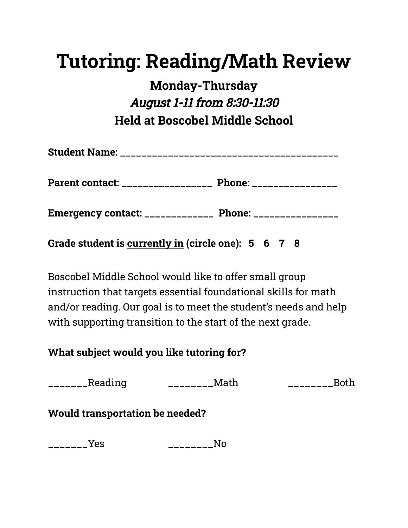### **Tutoring: Reading/Math Review**

**Monday-Thursday** August 1-11 from 8:30-11:30 **Held at Boscobel Middle School**

| Student Name: _____________________________ |  |
|---------------------------------------------|--|
|                                             |  |

**Emergency contact: \_\_\_\_\_\_\_\_\_\_\_\_\_ Phone: \_\_\_\_\_\_\_\_\_\_\_\_\_\_\_\_**

**Grade student is currently in (circle one): 5 6 7 8**

Boscobel Middle School would like to offer small group instruction that targets essential foundational skills for math and/or reading. Our goal is to meet the student's needs and help with supporting transition to the start of the next grade.

**What subject would you like tutoring for?**

\_\_\_\_\_\_\_Reading \_\_\_\_\_\_\_\_Math \_\_\_\_\_\_\_\_Both

#### **Would transportation be needed?**

\_\_\_\_\_\_\_Yes \_\_\_\_\_\_\_\_No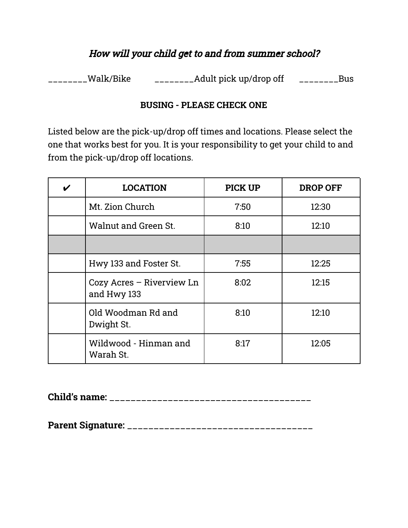#### How will your child get to and from summer school?

\_\_\_\_\_\_\_\_Walk/Bike \_\_\_\_\_\_\_\_\_\_Adult pick up/drop off \_\_\_\_\_\_\_\_\_Bus

#### **BUSING - PLEASE CHECK ONE**

Listed below are the pick-up/drop off times and locations. Please select the one that works best for you. It is your responsibility to get your child to and from the pick-up/drop off locations.

| $\boldsymbol{\mathcal{U}}$ | <b>LOCATION</b>                          | <b>PICK UP</b> | <b>DROP OFF</b> |
|----------------------------|------------------------------------------|----------------|-----------------|
|                            | Mt. Zion Church                          | 7:50           | 12:30           |
|                            | Walnut and Green St.                     | 8:10           | 12:10           |
|                            |                                          |                |                 |
|                            | Hwy 133 and Foster St.                   | 7:55           | 12:25           |
|                            | Cozy Acres - Riverview Ln<br>and Hwy 133 | 8:02           | 12:15           |
|                            | Old Woodman Rd and<br>Dwight St.         | 8:10           | 12:10           |
|                            | Wildwood - Hinman and<br>Warah St.       | 8:17           | 12:05           |

**Child's name:** \_\_\_\_\_\_\_\_\_\_\_\_\_\_\_\_\_\_\_\_\_\_\_\_\_\_\_\_\_\_\_\_\_\_\_\_\_\_

**Parent Signature:** \_\_\_\_\_\_\_\_\_\_\_\_\_\_\_\_\_\_\_\_\_\_\_\_\_\_\_\_\_\_\_\_\_\_\_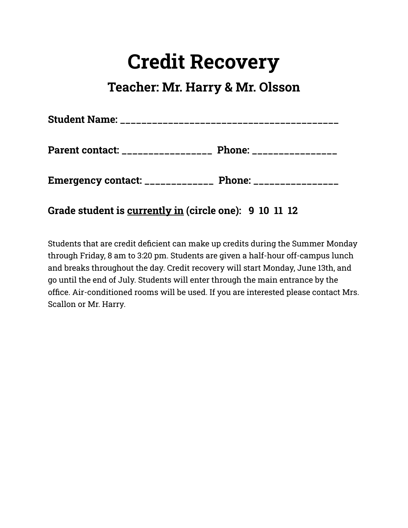### **Credit Recovery**

### **Teacher: Mr. Harry & Mr. Olsson**

| <b>Student Name: ___________________________</b> |                          |
|--------------------------------------------------|--------------------------|
| Parent contact: ________________                 | Phone: _________________ |
| Emergency contact: _____________                 | <b>Phone:</b>            |

**Grade student is currently in (circle one): 9 10 11 12**

Students that are credit deficient can make up credits during the Summer Monday through Friday, 8 am to 3:20 pm. Students are given a half-hour off-campus lunch and breaks throughout the day. Credit recovery will start Monday, June 13th, and go until the end of July. Students will enter through the main entrance by the office. Air-conditioned rooms will be used. If you are interested please contact Mrs. Scallon or Mr. Harry.